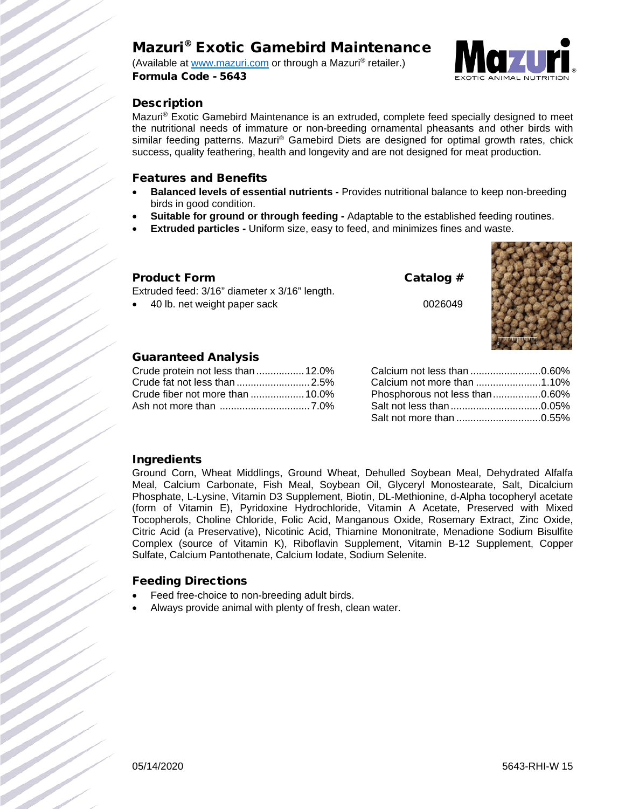# Mazuri® Exotic Gamebird Maintenance

(Available at [www.mazuri.com](http://www.mazuri.com/) or through a Mazuri® retailer.) Formula Code - 5643



# **Description**

Mazuri® Exotic Gamebird Maintenance is an extruded, complete feed specially designed to meet the nutritional needs of immature or non-breeding ornamental pheasants and other birds with similar feeding patterns. Mazuri® Gamebird Diets are designed for optimal growth rates, chick success, quality feathering, health and longevity and are not designed for meat production.

## Features and Benefits

- **Balanced levels of essential nutrients -** Provides nutritional balance to keep non-breeding birds in good condition.
- **Suitable for ground or through feeding -** Adaptable to the established feeding routines.
- **Extruded particles -** Uniform size, easy to feed, and minimizes fines and waste.

## Product Form Catalog #

Extruded feed: 3/16" diameter x 3/16" length.

40 lb. net weight paper sack 0026049



# Guaranteed Analysis

| Crude protein not less than  12.0% |  |
|------------------------------------|--|
|                                    |  |
|                                    |  |
|                                    |  |

| Calcium not less than 0.60%    |  |
|--------------------------------|--|
|                                |  |
| Phosphorous not less than0.60% |  |
|                                |  |
|                                |  |

## Ingredients

Ground Corn, Wheat Middlings, Ground Wheat, Dehulled Soybean Meal, Dehydrated Alfalfa Meal, Calcium Carbonate, Fish Meal, Soybean Oil, Glyceryl Monostearate, Salt, Dicalcium Phosphate, L-Lysine, Vitamin D3 Supplement, Biotin, DL-Methionine, d-Alpha tocopheryl acetate (form of Vitamin E), Pyridoxine Hydrochloride, Vitamin A Acetate, Preserved with Mixed Tocopherols, Choline Chloride, Folic Acid, Manganous Oxide, Rosemary Extract, Zinc Oxide, Citric Acid (a Preservative), Nicotinic Acid, Thiamine Mononitrate, Menadione Sodium Bisulfite Complex (source of Vitamin K), Riboflavin Supplement, Vitamin B-12 Supplement, Copper Sulfate, Calcium Pantothenate, Calcium Iodate, Sodium Selenite.

# Feeding Directions

- Feed free-choice to non-breeding adult birds.
- Always provide animal with plenty of fresh, clean water.